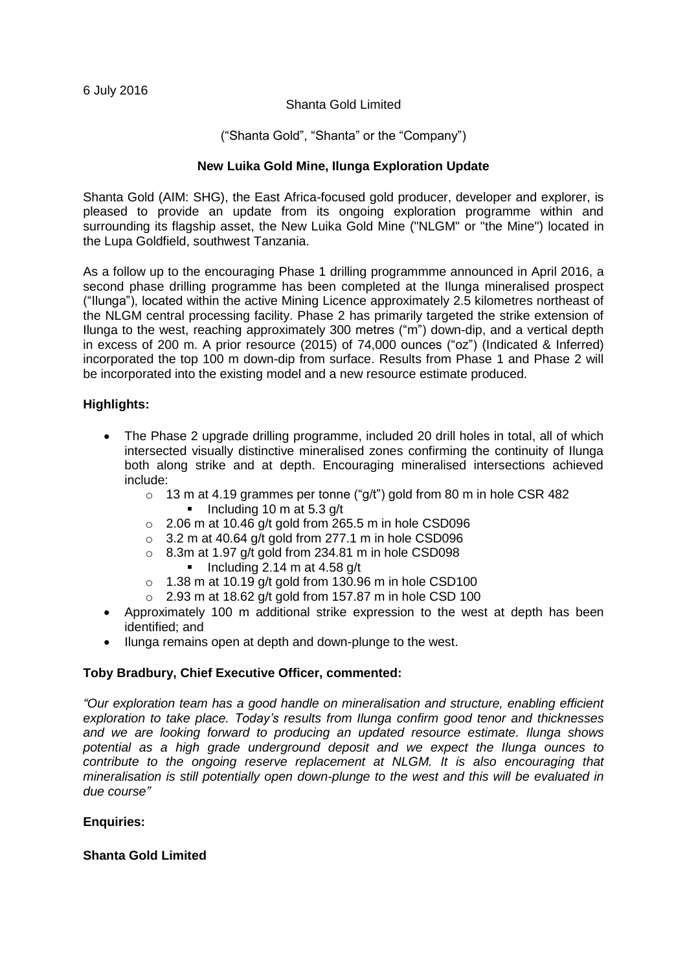### Shanta Gold Limited

# ("Shanta Gold", "Shanta" or the "Company")

## **New Luika Gold Mine, Ilunga Exploration Update**

Shanta Gold (AIM: SHG), the East Africa-focused gold producer, developer and explorer, is pleased to provide an update from its ongoing exploration programme within and surrounding its flagship asset, the New Luika Gold Mine ("NLGM" or "the Mine") located in the Lupa Goldfield, southwest Tanzania.

As a follow up to the encouraging Phase 1 drilling programmme announced in April 2016, a second phase drilling programme has been completed at the Ilunga mineralised prospect ("Ilunga"), located within the active Mining Licence approximately 2.5 kilometres northeast of the NLGM central processing facility. Phase 2 has primarily targeted the strike extension of Ilunga to the west, reaching approximately 300 metres ("m") down-dip, and a vertical depth in excess of 200 m. A prior resource (2015) of 74,000 ounces ("oz") (Indicated & Inferred) incorporated the top 100 m down-dip from surface. Results from Phase 1 and Phase 2 will be incorporated into the existing model and a new resource estimate produced.

## **Highlights:**

- The Phase 2 upgrade drilling programme, included 20 drill holes in total, all of which intersected visually distinctive mineralised zones confirming the continuity of Ilunga both along strike and at depth. Encouraging mineralised intersections achieved include:
	- o 13 m at 4.19 grammes per tonne ("g/t") gold from 80 m in hole CSR 482  $\blacksquare$  Including 10 m at 5.3 g/t
	- $\circ$  2.06 m at 10.46 g/t gold from 265.5 m in hole CSD096
	- $\circ$  3.2 m at 40.64 g/t gold from 277.1 m in hole CSD096
	- $\circ$  8.3m at 1.97 g/t gold from 234.81 m in hole CSD098 Including 2.14 m at 4.58 g/t
	- $\circ$  1.38 m at 10.19 g/t gold from 130.96 m in hole CSD100
	- $\degree$  2.93 m at 18.62 g/t gold from 157.87 m in hole CSD 100
- Approximately 100 m additional strike expression to the west at depth has been identified; and
- Ilunga remains open at depth and down-plunge to the west.

## **Toby Bradbury, Chief Executive Officer, commented:**

*"Our exploration team has a good handle on mineralisation and structure, enabling efficient exploration to take place. Today's results from Ilunga confirm good tenor and thicknesses and we are looking forward to producing an updated resource estimate. Ilunga shows potential as a high grade underground deposit and we expect the Ilunga ounces to contribute to the ongoing reserve replacement at NLGM. It is also encouraging that mineralisation is still potentially open down-plunge to the west and this will be evaluated in due course"*

## **Enquiries:**

#### **Shanta Gold Limited**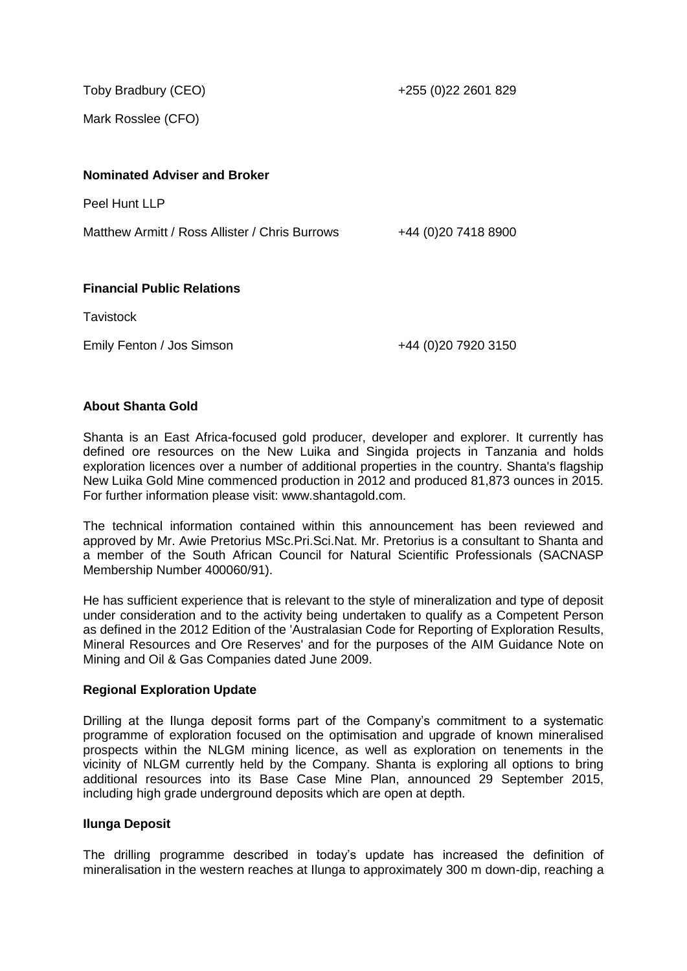Toby Bradbury (CEO)

+255 (0)22 2601 829

Mark Rosslee (CFO)

### **Nominated Adviser and Broker**

Peel Hunt LLP

Matthew Armitt / Ross Allister / Chris Burrows +44 (0)20 7418 8900

### **Financial Public Relations**

**Tavistock** 

Emily Fenton / Jos Simson +44 (0)20 7920 3150

### **About Shanta Gold**

Shanta is an East Africa-focused gold producer, developer and explorer. It currently has defined ore resources on the New Luika and Singida projects in Tanzania and holds exploration licences over a number of additional properties in the country. Shanta's flagship New Luika Gold Mine commenced production in 2012 and produced 81,873 ounces in 2015. For further information please visit: www.shantagold.com.

The technical information contained within this announcement has been reviewed and approved by Mr. Awie Pretorius MSc.Pri.Sci.Nat. Mr. Pretorius is a consultant to Shanta and a member of the South African Council for Natural Scientific Professionals (SACNASP Membership Number 400060/91).

He has sufficient experience that is relevant to the style of mineralization and type of deposit under consideration and to the activity being undertaken to qualify as a Competent Person as defined in the 2012 Edition of the 'Australasian Code for Reporting of Exploration Results, Mineral Resources and Ore Reserves' and for the purposes of the AIM Guidance Note on Mining and Oil & Gas Companies dated June 2009.

#### **Regional Exploration Update**

Drilling at the Ilunga deposit forms part of the Company's commitment to a systematic programme of exploration focused on the optimisation and upgrade of known mineralised prospects within the NLGM mining licence, as well as exploration on tenements in the vicinity of NLGM currently held by the Company. Shanta is exploring all options to bring additional resources into its Base Case Mine Plan, announced 29 September 2015, including high grade underground deposits which are open at depth.

#### **Ilunga Deposit**

The drilling programme described in today's update has increased the definition of mineralisation in the western reaches at Ilunga to approximately 300 m down-dip, reaching a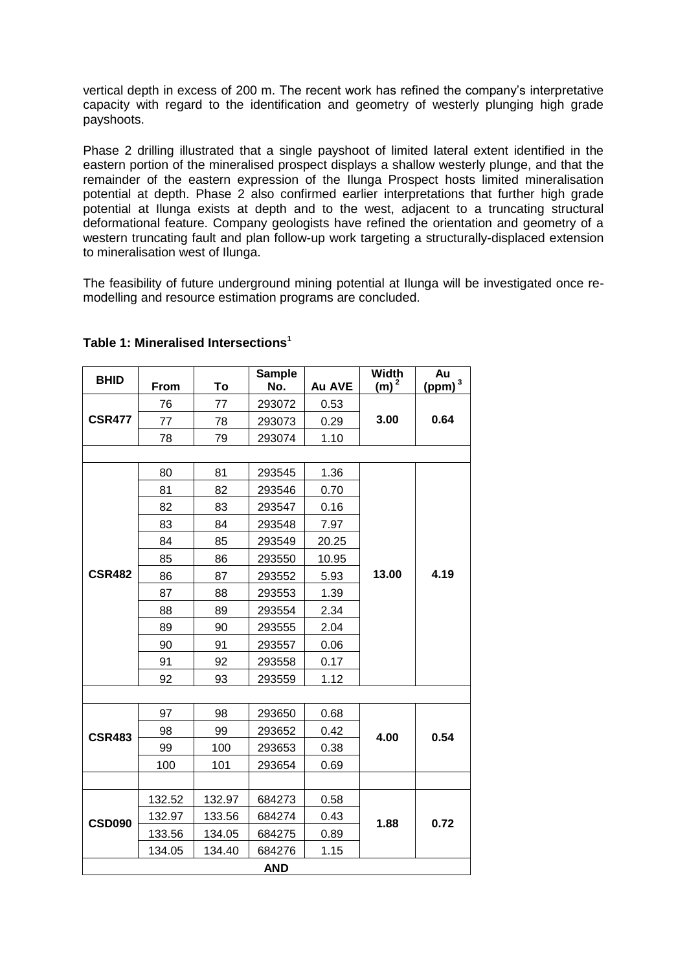vertical depth in excess of 200 m. The recent work has refined the company's interpretative capacity with regard to the identification and geometry of westerly plunging high grade payshoots.

Phase 2 drilling illustrated that a single payshoot of limited lateral extent identified in the eastern portion of the mineralised prospect displays a shallow westerly plunge, and that the remainder of the eastern expression of the Ilunga Prospect hosts limited mineralisation potential at depth. Phase 2 also confirmed earlier interpretations that further high grade potential at Ilunga exists at depth and to the west, adjacent to a truncating structural deformational feature. Company geologists have refined the orientation and geometry of a western truncating fault and plan follow-up work targeting a structurally-displaced extension to mineralisation west of Ilunga.

The feasibility of future underground mining potential at Ilunga will be investigated once remodelling and resource estimation programs are concluded.

| <b>BHID</b>   | From   | To     | <b>Sample</b><br>No. | Au AVE | <b>Width</b><br>$(m)^2$ | Au<br>$(ppm)$ <sup>3</sup> |  |  |
|---------------|--------|--------|----------------------|--------|-------------------------|----------------------------|--|--|
|               | 76     | 77     | 293072               | 0.53   |                         |                            |  |  |
| <b>CSR477</b> | 77     | 78     | 293073               | 0.29   | 3.00                    | 0.64                       |  |  |
|               | 78     | 79     | 293074               | 1.10   |                         |                            |  |  |
|               |        |        |                      |        |                         |                            |  |  |
|               | 80     | 81     | 293545               | 1.36   |                         | 4.19                       |  |  |
|               | 81     | 82     | 293546               | 0.70   |                         |                            |  |  |
|               | 82     | 83     | 293547               | 0.16   |                         |                            |  |  |
|               | 83     | 84     | 293548               | 7.97   |                         |                            |  |  |
|               | 84     | 85     | 293549               | 20.25  |                         |                            |  |  |
|               | 85     | 86     | 293550               | 10.95  |                         |                            |  |  |
| <b>CSR482</b> | 86     | 87     | 293552               | 5.93   | 13.00                   |                            |  |  |
|               | 87     | 88     | 293553               | 1.39   |                         |                            |  |  |
|               | 88     | 89     | 293554               | 2.34   |                         |                            |  |  |
|               | 89     | 90     | 293555               | 2.04   |                         |                            |  |  |
|               | 90     | 91     | 293557               | 0.06   |                         |                            |  |  |
|               | 91     | 92     | 293558               | 0.17   |                         |                            |  |  |
|               | 92     | 93     | 293559               | 1.12   |                         |                            |  |  |
|               |        |        |                      |        |                         |                            |  |  |
|               | 97     | 98     | 293650               | 0.68   | 4.00                    | 0.54                       |  |  |
| <b>CSR483</b> | 98     | 99     | 293652               | 0.42   |                         |                            |  |  |
|               | 99     | 100    | 293653               | 0.38   |                         |                            |  |  |
|               | 100    | 101    | 293654               | 0.69   |                         |                            |  |  |
|               |        |        |                      |        |                         |                            |  |  |
| <b>CSD090</b> | 132.52 | 132.97 | 684273               | 0.58   | 1.88                    |                            |  |  |
|               | 132.97 | 133.56 | 684274               | 0.43   |                         | 0.72                       |  |  |
|               | 133.56 | 134.05 | 684275               | 0.89   |                         |                            |  |  |
|               | 134.05 | 134.40 | 684276               | 1.15   |                         |                            |  |  |
| <b>AND</b>    |        |        |                      |        |                         |                            |  |  |

### **Table 1: Mineralised Intersections<sup>1</sup>**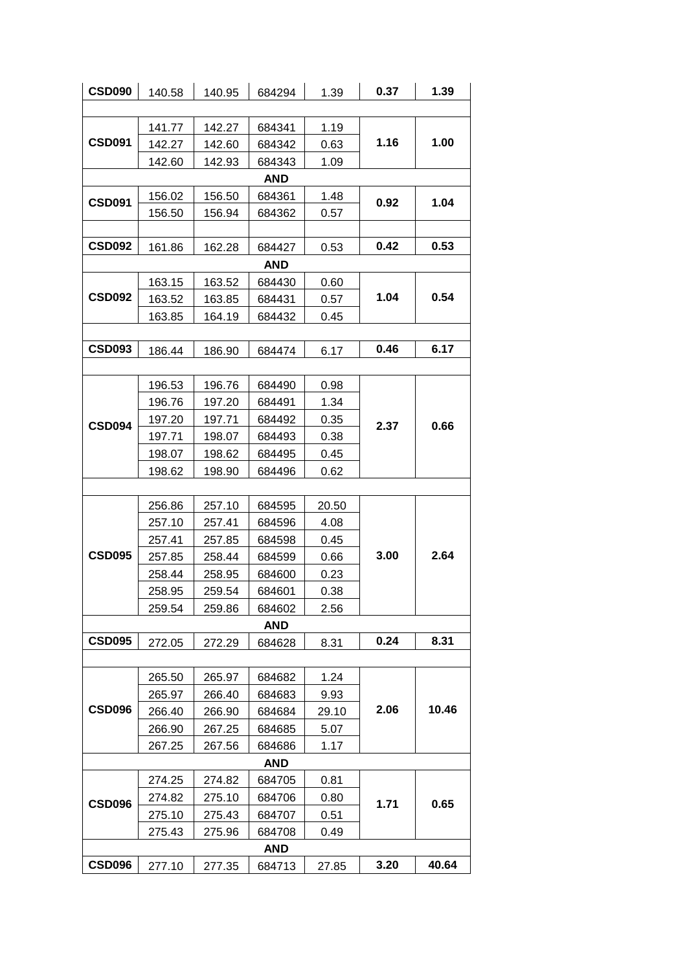| <b>CSD090</b> | 140.58 | 140.95 | 684294 | 1.39  | 0.37 | 1.39  |  |  |
|---------------|--------|--------|--------|-------|------|-------|--|--|
|               |        |        |        |       |      |       |  |  |
| <b>CSD091</b> | 141.77 | 142.27 | 684341 | 1.19  | 1.16 |       |  |  |
|               | 142.27 | 142.60 | 684342 | 0.63  |      | 1.00  |  |  |
|               | 142.60 | 142.93 | 684343 | 1.09  |      |       |  |  |
|               | AND    |        |        |       |      |       |  |  |
| <b>CSD091</b> | 156.02 | 156.50 | 684361 | 1.48  |      | 1.04  |  |  |
|               | 156.50 | 156.94 | 684362 | 0.57  | 0.92 |       |  |  |
|               |        |        |        |       |      |       |  |  |
| <b>CSD092</b> | 161.86 | 162.28 | 684427 | 0.53  | 0.42 | 0.53  |  |  |
|               |        |        | AND    |       |      |       |  |  |
|               | 163.15 | 163.52 | 684430 | 0.60  |      |       |  |  |
| <b>CSD092</b> | 163.52 | 163.85 | 684431 | 0.57  | 1.04 | 0.54  |  |  |
|               | 163.85 | 164.19 | 684432 | 0.45  |      |       |  |  |
|               |        |        |        |       |      |       |  |  |
| <b>CSD093</b> | 186.44 | 186.90 | 684474 | 6.17  | 0.46 | 6.17  |  |  |
|               |        |        |        |       |      |       |  |  |
|               | 196.53 | 196.76 | 684490 | 0.98  |      | 0.66  |  |  |
|               | 196.76 | 197.20 | 684491 | 1.34  |      |       |  |  |
| <b>CSD094</b> | 197.20 | 197.71 | 684492 | 0.35  | 2.37 |       |  |  |
|               | 197.71 | 198.07 | 684493 | 0.38  |      |       |  |  |
|               | 198.07 | 198.62 | 684495 | 0.45  |      |       |  |  |
|               | 198.62 | 198.90 | 684496 | 0.62  |      |       |  |  |
|               |        |        |        |       |      |       |  |  |
|               | 256.86 | 257.10 | 684595 | 20.50 | 3.00 | 2.64  |  |  |
|               | 257.10 | 257.41 | 684596 | 4.08  |      |       |  |  |
|               | 257.41 | 257.85 | 684598 | 0.45  |      |       |  |  |
| <b>CSD095</b> | 257.85 | 258.44 | 684599 | 0.66  |      |       |  |  |
|               | 258.44 | 258.95 | 684600 | 0.23  |      |       |  |  |
|               | 258.95 | 259.54 | 684601 | 0.38  |      |       |  |  |
|               | 259.54 | 259.86 | 684602 | 2.56  |      |       |  |  |
| <b>AND</b>    |        |        |        |       |      |       |  |  |
| <b>CSD095</b> | 272.05 | 272.29 | 684628 | 8.31  | 0.24 | 8.31  |  |  |
|               |        |        |        |       |      |       |  |  |
|               | 265.50 | 265.97 | 684682 | 1.24  | 2.06 | 10.46 |  |  |
| <b>CSD096</b> | 265.97 | 266.40 | 684683 | 9.93  |      |       |  |  |
|               | 266.40 | 266.90 | 684684 | 29.10 |      |       |  |  |
|               | 266.90 | 267.25 | 684685 | 5.07  |      |       |  |  |
|               | 267.25 | 267.56 | 684686 | 1.17  |      |       |  |  |
| <b>AND</b>    |        |        |        |       |      |       |  |  |
| <b>CSD096</b> | 274.25 | 274.82 | 684705 | 0.81  | 1.71 | 0.65  |  |  |
|               | 274.82 | 275.10 | 684706 | 0.80  |      |       |  |  |
|               | 275.10 | 275.43 | 684707 | 0.51  |      |       |  |  |
|               | 275.43 | 275.96 | 684708 | 0.49  |      |       |  |  |
| AND           |        |        |        |       |      |       |  |  |
| <b>CSD096</b> | 277.10 | 277.35 | 684713 | 27.85 | 3.20 | 40.64 |  |  |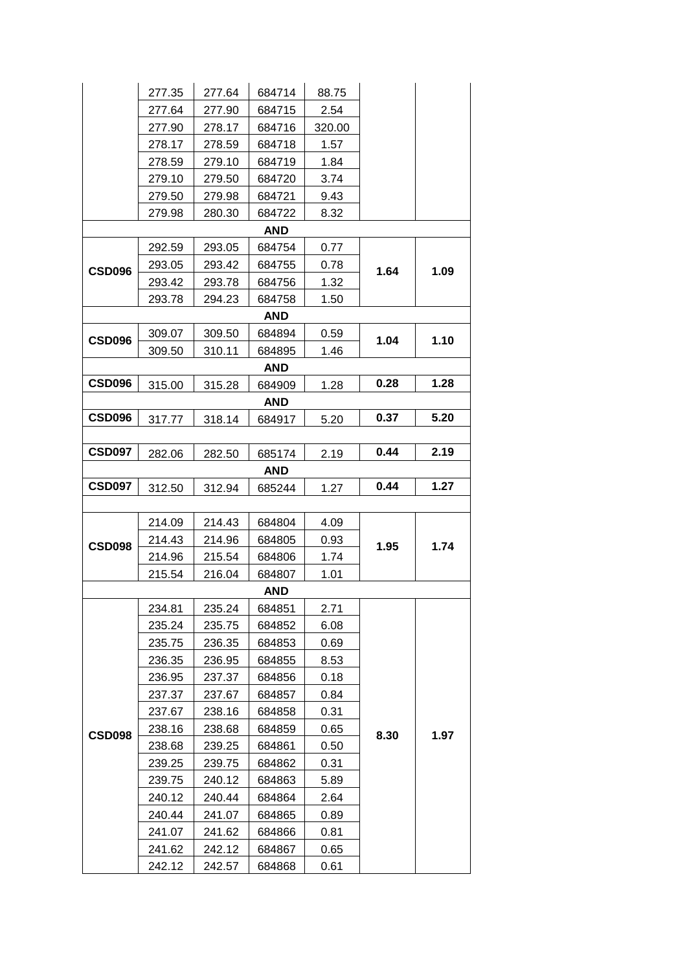|               | 277.35 | 277.64 | 684714     | 88.75  |      |      |  |  |
|---------------|--------|--------|------------|--------|------|------|--|--|
|               | 277.64 | 277.90 | 684715     | 2.54   |      |      |  |  |
|               | 277.90 | 278.17 | 684716     | 320.00 |      |      |  |  |
|               | 278.17 | 278.59 | 684718     | 1.57   |      |      |  |  |
|               | 278.59 | 279.10 | 684719     | 1.84   |      |      |  |  |
|               | 279.10 | 279.50 | 684720     | 3.74   |      |      |  |  |
|               | 279.50 | 279.98 | 684721     | 9.43   |      |      |  |  |
|               | 279.98 | 280.30 | 684722     | 8.32   |      |      |  |  |
|               |        |        | <b>AND</b> |        |      |      |  |  |
|               | 292.59 | 293.05 | 684754     | 0.77   |      | 1.09 |  |  |
| CSD096        | 293.05 | 293.42 | 684755     | 0.78   | 1.64 |      |  |  |
|               | 293.42 | 293.78 | 684756     | 1.32   |      |      |  |  |
|               | 293.78 | 294.23 | 684758     | 1.50   |      |      |  |  |
|               |        |        | AND        |        |      |      |  |  |
| CSD096        | 309.07 | 309.50 | 684894     | 0.59   | 1.04 | 1.10 |  |  |
|               | 309.50 | 310.11 | 684895     | 1.46   |      |      |  |  |
|               |        |        | <b>AND</b> |        |      |      |  |  |
| <b>CSD096</b> | 315.00 | 315.28 | 684909     | 1.28   | 0.28 | 1.28 |  |  |
|               |        |        | AND        |        |      |      |  |  |
| <b>CSD096</b> | 317.77 | 318.14 | 684917     | 5.20   | 0.37 | 5.20 |  |  |
|               |        |        |            |        |      |      |  |  |
| <b>CSD097</b> | 282.06 | 282.50 | 685174     | 2.19   | 0.44 | 2.19 |  |  |
| <b>AND</b>    |        |        |            |        |      |      |  |  |
| <b>CSD097</b> | 312.50 | 312.94 | 685244     | 1.27   | 0.44 | 1.27 |  |  |
|               |        |        |            |        |      |      |  |  |
|               | 214.09 | 214.43 | 684804     | 4.09   | 1.95 |      |  |  |
| CSD098        | 214.43 | 214.96 | 684805     | 0.93   |      | 1.74 |  |  |
|               | 214.96 | 215.54 | 684806     | 1.74   |      |      |  |  |
|               | 215.54 | 216.04 | 684807     | 1.01   |      |      |  |  |
|               |        |        | AND        |        |      |      |  |  |
|               | 234.81 | 235.24 | 684851     | 2.71   | 8.30 |      |  |  |
|               | 235.24 | 235.75 | 684852     | 6.08   |      |      |  |  |
|               | 235.75 | 236.35 | 684853     | 0.69   |      |      |  |  |
|               | 236.35 | 236.95 | 684855     | 8.53   |      |      |  |  |
|               | 236.95 | 237.37 | 684856     | 0.18   |      |      |  |  |
|               | 237.37 | 237.67 | 684857     | 0.84   |      |      |  |  |
| CSD098        | 237.67 | 238.16 | 684858     | 0.31   |      |      |  |  |
|               | 238.16 | 238.68 | 684859     | 0.65   |      | 1.97 |  |  |
|               | 238.68 | 239.25 | 684861     | 0.50   |      |      |  |  |
|               | 239.25 | 239.75 | 684862     | 0.31   |      |      |  |  |
|               | 239.75 | 240.12 | 684863     | 5.89   |      |      |  |  |
|               | 240.12 | 240.44 | 684864     | 2.64   |      |      |  |  |
|               | 240.44 | 241.07 | 684865     | 0.89   |      |      |  |  |
|               | 241.07 | 241.62 | 684866     | 0.81   |      |      |  |  |
|               | 241.62 | 242.12 | 684867     | 0.65   |      |      |  |  |
|               | 242.12 | 242.57 | 684868     | 0.61   |      |      |  |  |